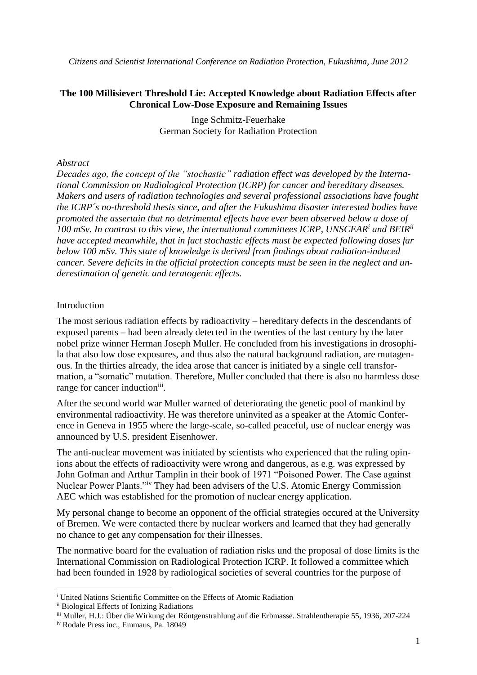*Citizens and Scientist International Conference on Radiation Protection, Fukushima, June 2012*

#### **The 100 Millisievert Threshold Lie: Accepted Knowledge about Radiation Effects after Chronical Low-Dose Exposure and Remaining Issues**

Inge Schmitz-Feuerhake German Society for Radiation Protection

#### *Abstract*

*Decades ago, the concept of the "stochastic" radiation effect was developed by the International Commission on Radiological Protection (ICRP) for cancer and hereditary diseases. Makers and users of radiation technologies and several professional associations have fought the ICRP´s no-threshold thesis since, and after the Fukushima disaster interested bodies have promoted the assertain that no detrimental effects have ever been observed below a dose of 100 mSv. In contrast to this view, the international committees ICRP, UNSCEAR<sup>i</sup> and BEIRii have accepted meanwhile, that in fact stochastic effects must be expected following doses far below 100 mSv. This state of knowledge is derived from findings about radiation-induced cancer. Severe deficits in the official protection concepts must be seen in the neglect and underestimation of genetic and teratogenic effects.*

#### Introduction

The most serious radiation effects by radioactivity – hereditary defects in the descendants of exposed parents – had been already detected in the twenties of the last century by the later nobel prize winner Herman Joseph Muller. He concluded from his investigations in drosophila that also low dose exposures, and thus also the natural background radiation, are mutagenous. In the thirties already, the idea arose that cancer is initiated by a single cell transformation, a "somatic" mutation. Therefore, Muller concluded that there is also no harmless dose range for cancer induction<sup>iii</sup>.

After the second world war Muller warned of deteriorating the genetic pool of mankind by environmental radioactivity. He was therefore uninvited as a speaker at the Atomic Conference in Geneva in 1955 where the large-scale, so-called peaceful, use of nuclear energy was announced by U.S. president Eisenhower.

The anti-nuclear movement was initiated by scientists who experienced that the ruling opinions about the effects of radioactivity were wrong and dangerous, as e.g. was expressed by John Gofman and Arthur Tamplin in their book of 1971 "Poisoned Power. The Case against Nuclear Power Plants."iv They had been advisers of the U.S. Atomic Energy Commission AEC which was established for the promotion of nuclear energy application.

My personal change to become an opponent of the official strategies occured at the University of Bremen. We were contacted there by nuclear workers and learned that they had generally no chance to get any compensation for their illnesses.

The normative board for the evaluation of radiation risks und the proposal of dose limits is the International Commission on Radiological Protection ICRP. It followed a committee which had been founded in 1928 by radiological societies of several countries for the purpose of

1

<sup>i</sup> United Nations Scientific Committee on the Effects of Atomic Radiation

ii Biological Effects of Ionizing Radiations

iii Muller, H.J.: Über die Wirkung der Röntgenstrahlung auf die Erbmasse. Strahlentherapie 55, 1936, 207-224

iv Rodale Press inc., Emmaus, Pa. 18049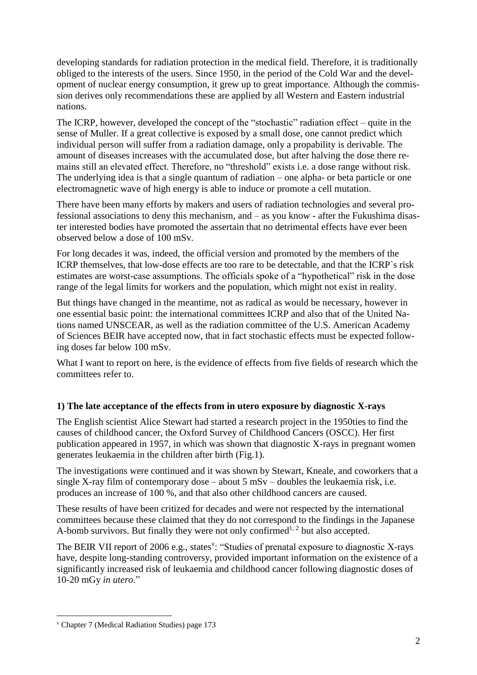developing standards for radiation protection in the medical field. Therefore, it is traditionally obliged to the interests of the users. Since 1950, in the period of the Cold War and the development of nuclear energy consumption, it grew up to great importance. Although the commission derives only recommendations these are applied by all Western and Eastern industrial nations.

The ICRP, however, developed the concept of the "stochastic" radiation effect – quite in the sense of Muller. If a great collective is exposed by a small dose, one cannot predict which individual person will suffer from a radiation damage, only a propability is derivable. The amount of diseases increases with the accumulated dose, but after halving the dose there remains still an elevated effect. Therefore, no "threshold" exists i.e. a dose range without risk. The underlying idea is that a single quantum of radiation – one alpha- or beta particle or one electromagnetic wave of high energy is able to induce or promote a cell mutation.

There have been many efforts by makers and users of radiation technologies and several professional associations to deny this mechanism, and – as you know - after the Fukushima disaster interested bodies have promoted the assertain that no detrimental effects have ever been observed below a dose of 100 mSv*.*

For long decades it was, indeed, the official version and promoted by the members of the ICRP themselves, that low-dose effects are too rare to be detectable, and that the ICRP`s risk estimates are worst-case assumptions. The officials spoke of a "hypothetical" risk in the dose range of the legal limits for workers and the population, which might not exist in reality.

But things have changed in the meantime, not as radical as would be necessary, however in one essential basic point: the international committees ICRP and also that of the United Nations named UNSCEAR, as well as the radiation committee of the U.S. American Academy of Sciences BEIR have accepted now, that in fact stochastic effects must be expected following doses far below 100 mSv.

What I want to report on here, is the evidence of effects from five fields of research which the committees refer to.

# **1) The late acceptance of the effects from in utero exposure by diagnostic X-rays**

The English scientist Alice Stewart had started a research project in the 1950ties to find the causes of childhood cancer, the Oxford Survey of Childhood Cancers (OSCC). Her first publication appeared in 1957, in which was shown that diagnostic X-rays in pregnant women generates leukaemia in the children after birth (Fig.1).

The investigations were continued and it was shown by Stewart, Kneale, and coworkers that a single X-ray film of contemporary dose – about  $5 \text{ mSv}$  – doubles the leukaemia risk, i.e. produces an increase of 100 %, and that also other childhood cancers are caused.

These results of have been critized for decades and were not respected by the international committees because these claimed that they do not correspond to the findings in the Japanese A-bomb survivors. But finally they were not only confirmed<sup>1, 2</sup> but also accepted.

The BEIR VII report of 2006 e.g., states<sup>v</sup>: "Studies of prenatal exposure to diagnostic X-rays have, despite long-standing controversy, provided important information on the existence of a significantly increased risk of leukaemia and childhood cancer following diagnostic doses of 10-20 mGy *in utero*."

1

<sup>v</sup> Chapter 7 (Medical Radiation Studies) page 173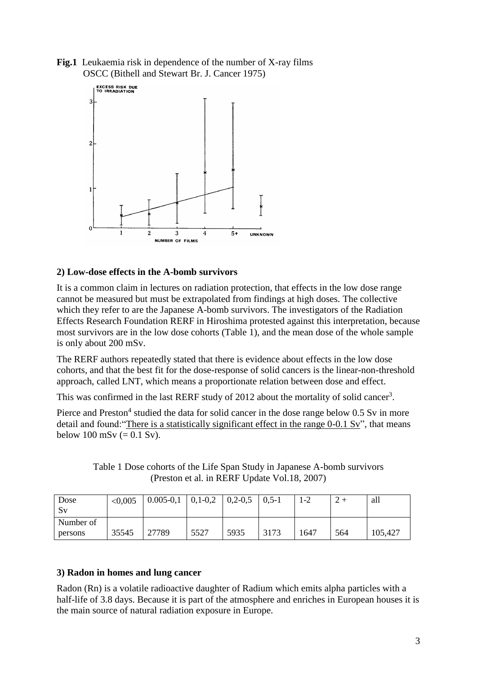**Fig.1** Leukaemia risk in dependence of the number of X-ray films OSCC (Bithell and Stewart Br. J. Cancer 1975)



## **2) Low-dose effects in the A-bomb survivors**

It is a common claim in lectures on radiation protection, that effects in the low dose range cannot be measured but must be extrapolated from findings at high doses. The collective which they refer to are the Japanese A-bomb survivors. The investigators of the Radiation Effects Research Foundation RERF in Hiroshima protested against this interpretation, because most survivors are in the low dose cohorts (Table 1), and the mean dose of the whole sample is only about 200 mSv.

The RERF authors repeatedly stated that there is evidence about effects in the low dose cohorts, and that the best fit for the dose-response of solid cancers is the linear-non-threshold approach, called LNT, which means a proportionate relation between dose and effect.

This was confirmed in the last RERF study of 2012 about the mortality of solid cancer<sup>3</sup>.

Pierce and Preston<sup>4</sup> studied the data for solid cancer in the dose range below 0.5 Sv in more detail and found: "There is a statistically significant effect in the range  $0-0.1$  Sv", that means below 100 mSv ( $= 0.1$  Sv).

Table 1 Dose cohorts of the Life Span Study in Japanese A-bomb survivors (Preston et al. in RERF Update Vol.18, 2007)

| Dose<br>Sv           | < 0,005 | $0.005 - 0.1$ | $0,1-0,2$ | $0,2-0,5$ | $\mid 0.5 - 1 \rangle$ | $1 - 2$ |     | all     |
|----------------------|---------|---------------|-----------|-----------|------------------------|---------|-----|---------|
| Number of<br>persons | 35545   | 27789         | 5527      | 5935      | 3173                   | 1647    | 564 | 105,427 |

#### **3) Radon in homes and lung cancer**

Radon (Rn) is a volatile radioactive daughter of Radium which emits alpha particles with a half-life of 3.8 days. Because it is part of the atmosphere and enriches in European houses it is the main source of natural radiation exposure in Europe.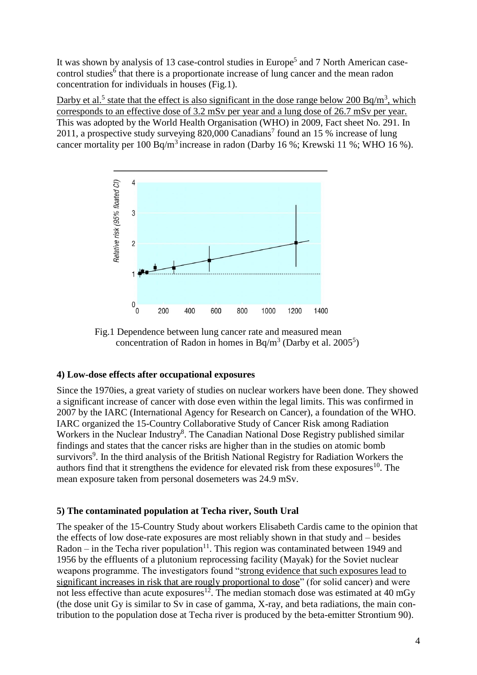It was shown by analysis of 13 case-control studies in Europe<sup>5</sup> and 7 North American casecontrol studies<sup>6</sup> that there is a proportionate increase of lung cancer and the mean radon concentration for individuals in houses (Fig.1).

Darby et al.<sup>5</sup> state that the effect is also significant in the dose range below 200 Bq/m<sup>3</sup>, which corresponds to an effective dose of 3.2 mSv per year and a lung dose of 26.7 mSv per year. This was adopted by the World Health Organisation (WHO) in 2009, Fact sheet No. 291. In 2011, a prospective study surveying  $820,000$  Canadians<sup>7</sup> found an 15 % increase of lung cancer mortality per  $100$  Bq/m<sup>3</sup> increase in radon (Darby 16 %; Krewski 11 %; WHO 16 %).



 Fig.1 Dependence between lung cancer rate and measured mean concentration of Radon in homes in Bq/m<sup>3</sup> (Darby et al. 2005<sup>5</sup>)

## **4) Low-dose effects after occupational exposures**

Since the 1970ies, a great variety of studies on nuclear workers have been done. They showed a significant increase of cancer with dose even within the legal limits. This was confirmed in 2007 by the IARC (International Agency for Research on Cancer), a foundation of the WHO. IARC organized the 15-Country Collaborative Study of Cancer Risk among Radiation Workers in the Nuclear Industry<sup>8</sup>. The Canadian National Dose Registry published similar findings and states that the cancer risks are higher than in the studies on atomic bomb survivors<sup>9</sup>. In the third analysis of the British National Registry for Radiation Workers the authors find that it strengthens the evidence for elevated risk from these exposures<sup>10</sup>. The mean exposure taken from personal dosemeters was 24.9 mSv.

## **5) The contaminated population at Techa river, South Ural**

The speaker of the 15-Country Study about workers Elisabeth Cardis came to the opinion that the effects of low dose-rate exposures are most reliably shown in that study and – besides  $Radon - in the Techa river population<sup>11</sup>. This region was contaminated between 1949 and 1949.$ 1956 by the effluents of a plutonium reprocessing facility (Mayak) for the Soviet nuclear weapons programme. The investigators found "strong evidence that such exposures lead to significant increases in risk that are rougly proportional to dose" (for solid cancer) and were not less effective than acute exposures<sup>12</sup>. The median stomach dose was estimated at 40 mGy (the dose unit Gy is similar to Sv in case of gamma, X-ray, and beta radiations, the main contribution to the population dose at Techa river is produced by the beta-emitter Strontium 90).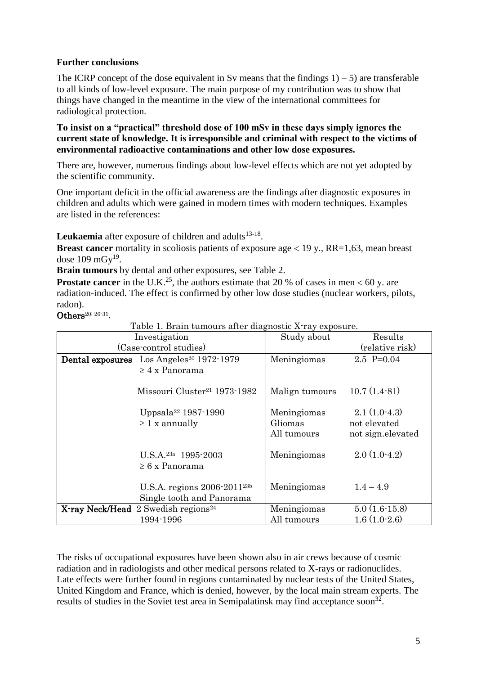# **Further conclusions**

The ICRP concept of the dose equivalent in Sv means that the findings  $1$ ) – 5) are transferable to all kinds of low-level exposure. The main purpose of my contribution was to show that things have changed in the meantime in the view of the international committees for radiological protection.

**To insist on a "practical" threshold dose of 100 mSv in these days simply ignores the current state of knowledge. It is irresponsible and criminal with respect to the victims of environmental radioactive contaminations and other low dose exposures.**

There are, however, numerous findings about low-level effects which are not yet adopted by the scientific community.

One important deficit in the official awareness are the findings after diagnostic exposures in children and adults which were gained in modern times with modern techniques. Examples are listed in the references:

Leukaemia after exposure of children and adults<sup>13-18</sup>.

**Breast cancer** mortality in scoliosis patients of exposure age  $\lt 19$  y., RR=1,63, mean breast dose  $109 \text{ mGy}^{19}$ .

**Brain tumours** by dental and other exposures, see Table 2.

**Prostate cancer** in the U.K.<sup>25</sup>, the authors estimate that 20 % of cases in men  $< 60$  y. are radiation-induced. The effect is confirmed by other low dose studies (nuclear workers, pilots, radon).

Others<sup>20; 26-31</sup>.

Table 1. Brain tumours after diagnostic X-ray exposure

| Table 1. Drain tumburs and unaghosine A Tay exposure.<br>Investigation<br>(Case-control studies) | Study about                           | Results<br>(relative risk)                          |  |
|--------------------------------------------------------------------------------------------------|---------------------------------------|-----------------------------------------------------|--|
| Dental exposures Los Angeles <sup>20</sup> 1972-1979<br>$\geq 4$ x Panorama                      |                                       | $2.5$ P=0.04                                        |  |
| Missouri Cluster <sup>21</sup> 1973-1982                                                         | Malign tumours                        | $10.7(1.4-81)$                                      |  |
| Uppsala <sup>22</sup> 1987-1990<br>$\geq 1$ x annually                                           | Meningiomas<br>Gliomas<br>All tumours | $2.1(1.0-4.3)$<br>not elevated<br>not sign.elevated |  |
| U.S.A. <sup>23a</sup> 1995-2003<br>$\geq 6$ x Panorama                                           | Meningiomas                           | $2.0(1.0-4.2)$                                      |  |
| U.S.A. regions 2006-2011 <sup>23b</sup><br>Single tooth and Panorama                             | Meningiomas                           | $1.4 - 4.9$                                         |  |
| X-ray Neck/Head 2 Swedish regions <sup>24</sup><br>1994-1996                                     | Meningiomas<br>All tumours            | $5.0(1.6-15.8)$<br>$1.6(1.0-2.6)$                   |  |

The risks of occupational exposures have been shown also in air crews because of cosmic radiation and in radiologists and other medical persons related to X-rays or radionuclides. Late effects were further found in regions contaminated by nuclear tests of the United States, United Kingdom and France, which is denied, however, by the local main stream experts. The results of studies in the Soviet test area in Semipalatinsk may find acceptance soon<sup>32</sup>.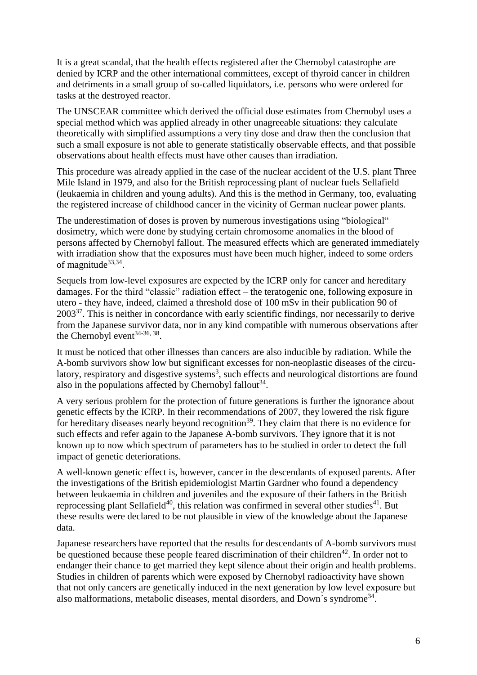It is a great scandal, that the health effects registered after the Chernobyl catastrophe are denied by ICRP and the other international committees, except of thyroid cancer in children and detriments in a small group of so-called liquidators, i.e. persons who were ordered for tasks at the destroyed reactor.

The UNSCEAR committee which derived the official dose estimates from Chernobyl uses a special method which was applied already in other unagreeable situations: they calculate theoretically with simplified assumptions a very tiny dose and draw then the conclusion that such a small exposure is not able to generate statistically observable effects, and that possible observations about health effects must have other causes than irradiation.

This procedure was already applied in the case of the nuclear accident of the U.S. plant Three Mile Island in 1979, and also for the British reprocessing plant of nuclear fuels Sellafield (leukaemia in children and young adults). And this is the method in Germany, too, evaluating the registered increase of childhood cancer in the vicinity of German nuclear power plants.

The underestimation of doses is proven by numerous investigations using "biological" dosimetry, which were done by studying certain chromosome anomalies in the blood of persons affected by Chernobyl fallout. The measured effects which are generated immediately with irradiation show that the exposures must have been much higher, indeed to some orders of magnitude<sup>33,34</sup>.

Sequels from low-level exposures are expected by the ICRP only for cancer and hereditary damages. For the third "classic" radiation effect – the teratogenic one, following exposure in utero - they have, indeed, claimed a threshold dose of 100 mSv in their publication 90 of 2003<sup>37</sup>. This is neither in concordance with early scientific findings, nor necessarily to derive from the Japanese survivor data, nor in any kind compatible with numerous observations after the Chernobyl event  $34-36, 38$ .

It must be noticed that other illnesses than cancers are also inducible by radiation. While the A-bomb survivors show low but significant excesses for non-neoplastic diseases of the circulatory, respiratory and disgestive systems<sup>3</sup>, such effects and neurological distortions are found also in the populations affected by Chernobyl fallout $34$ .

A very serious problem for the protection of future generations is further the ignorance about genetic effects by the ICRP. In their recommendations of 2007, they lowered the risk figure for hereditary diseases nearly beyond recognition<sup>39</sup>. They claim that there is no evidence for such effects and refer again to the Japanese A-bomb survivors. They ignore that it is not known up to now which spectrum of parameters has to be studied in order to detect the full impact of genetic deteriorations.

A well-known genetic effect is, however, cancer in the descendants of exposed parents. After the investigations of the British epidemiologist Martin Gardner who found a dependency between leukaemia in children and juveniles and the exposure of their fathers in the British reprocessing plant Sellafield<sup>40</sup>, this relation was confirmed in several other studies<sup>41</sup>. But these results were declared to be not plausible in view of the knowledge about the Japanese data.

Japanese researchers have reported that the results for descendants of A-bomb survivors must be questioned because these people feared discrimination of their children<sup>42</sup>. In order not to endanger their chance to get married they kept silence about their origin and health problems. Studies in children of parents which were exposed by Chernobyl radioactivity have shown that not only cancers are genetically induced in the next generation by low level exposure but also malformations, metabolic diseases, mental disorders, and Down's syndrome<sup>34</sup>.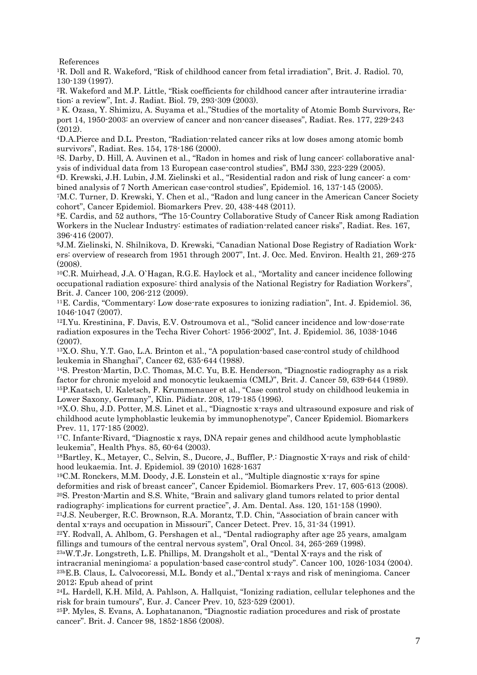References

<sup>1</sup>R. Doll and R. Wakeford, "Risk of childhood cancer from fetal irradiation", Brit. J. Radiol. 70, 130-139 (1997).

2R. Wakeford and M.P. Little, "Risk coefficients for childhood cancer after intrauterine irradiation: a review", Int. J. Radiat. Biol. 79, 293-309 (2003).

<sup>3</sup> K. Ozasa, Y. Shimizu, A. Suyama et al.,"Studies of the mortality of Atomic Bomb Survivors, Report 14, 1950-2003: an overview of cancer and non-cancer diseases", Radiat. Res. 177, 229-243 (2012).

<sup>4</sup>D.A.Pierce and D.L. Preston, "Radiation-related cancer riks at low doses among atomic bomb survivors", Radiat. Res. 154, 178-186 (2000).

5S. Darby, D. Hill, A. Auvinen et al., "Radon in homes and risk of lung cancer: collaborative analysis of individual data from 13 European case-control studies", BMJ 330, 223-229 (2005).

6D. Krewski, J.H. Lubin, J.M. Zielinski et al., "Residential radon and risk of lung cancer: a combined analysis of 7 North American case-control studies", Epidemiol. 16, 137-145 (2005).

<sup>7</sup>M.C. Turner, D. Krewski, Y. Chen et al., "Radon and lung cancer in the American Cancer Society cohort", Cancer Epidemiol. Biomarkers Prev. 20, 438-448 (2011).

<sup>8</sup>E. Cardis, and 52 authors, "The 15-Country Collaborative Study of Cancer Risk among Radiation Workers in the Nuclear Industry: estimates of radiation-related cancer risks", Radiat. Res. 167, 396-416 (2007).

9J.M. Zielinski, N. Shilnikova, D. Krewski, "Canadian National Dose Registry of Radiation Workers: overview of research from 1951 through 2007", Int. J. Occ. Med. Environ. Health 21, 269-275 (2008).

<sup>10</sup>C.R. Muirhead, J.A. O`Hagan, R.G.E. Haylock et al., "Mortality and cancer incidence following occupational radiation exposure: third analysis of the National Registry for Radiation Workers", Brit. J. Cancer 100, 206-212 (2009).

<sup>11</sup>E. Cardis, "Commentary: Low dose-rate exposures to ionizing radiation", Int. J. Epidemiol. 36, 1046-1047 (2007).

<sup>12</sup>I.Yu. Krestinina, F. Davis, E.V. Ostroumova et al., "Solid cancer incidence and low-dose-rate radiation exposures in the Techa River Cohort: 1956-2002", Int. J. Epidemiol. 36, 1038-1046 (2007).

<sup>13</sup>X.O. Shu, Y.T. Gao, L.A. Brinton et al., "A population-based case-control study of childhood leukemia in Shanghai", Cancer 62, 635-644 (1988).

<sup>14</sup>S. Preston-Martin, D.C. Thomas, M.C. Yu, B.E. Henderson, "Diagnostic radiography as a risk factor for chronic myeloid and monocytic leukaemia (CML)", Brit. J. Cancer 59, 639-644 (1989). <sup>15</sup>P.Kaatsch, U. Kaletsch, F. Krummenauer et al., "Case control study on childhood leukemia in Lower Saxony, Germany", Klin. Pädiatr. 208, 179-185 (1996).

<sup>16</sup>X.O. Shu, J.D. Potter, M.S. Linet et al., "Diagnostic x-rays and ultrasound exposure and risk of childhood acute lymphoblastic leukemia by immunophenotype", Cancer Epidemiol. Biomarkers Prev. 11, 177-185 (2002).

<sup>17</sup>C. Infante-Rivard, "Diagnostic x rays, DNA repair genes and childhood acute lymphoblastic leukemia", Health Phys. 85, 60-64 (2003).

18Bartley, K., Metayer, C., Selvin, S., Ducore, J., Buffler, P.: Diagnostic X-rays and risk of childhood leukaemia. Int. J. Epidemiol. 39 (2010) 1628-1637

<sup>19</sup>C.M. Ronckers, M.M. Doody, J.E. Lonstein et al., "Multiple diagnostic x-rays for spine deformities and risk of breast cancer", Cancer Epidemiol. Biomarkers Prev. 17, 605-613 (2008). <sup>20</sup>S. Preston-Martin and S.S. White, "Brain and salivary gland tumors related to prior dental radiography: implications for current practice", J. Am. Dental. Ass. 120, 151-158 (1990).

<sup>21</sup>J.S. Neuberger, R.C. Brownson, R.A. Morantz, T.D. Chin, "Association of brain cancer with dental x-rays and occupation in Missouri", Cancer Detect. Prev. 15, 31-34 (1991).

 $22Y.$  Rodvall, A. Ahlbom, G. Pershagen et al., "Dental radiography after age 25 years, amalgam fillings and tumours of the central nervous system", Oral Oncol. 34, 265-269 (1998).

23aW.T.Jr. Longstreth, L.E. Phillips, M. Drangsholt et al., "Dental X-rays and the risk of intracranial meningioma: a population-based case-control study". Cancer 100, 1026-1034 (2004). 23bE.B. Claus, L. Calvocoressi, M.L. Bondy et al.,"Dental x-rays and risk of meningioma. Cancer 2012; Epub ahead of print

<sup>24</sup>L. Hardell, K.H. Mild, A. Pahlson, A. Hallquist, "Ionizing radiation, cellular telephones and the risk for brain tumours", Eur. J. Cancer Prev. 10, 523-529 (2001).

<sup>25</sup>P. Myles, S. Evans, A. Lophatananon, "Diagnostic radiation procedures and risk of prostate cancer". Brit. J. Cancer 98, 1852-1856 (2008).